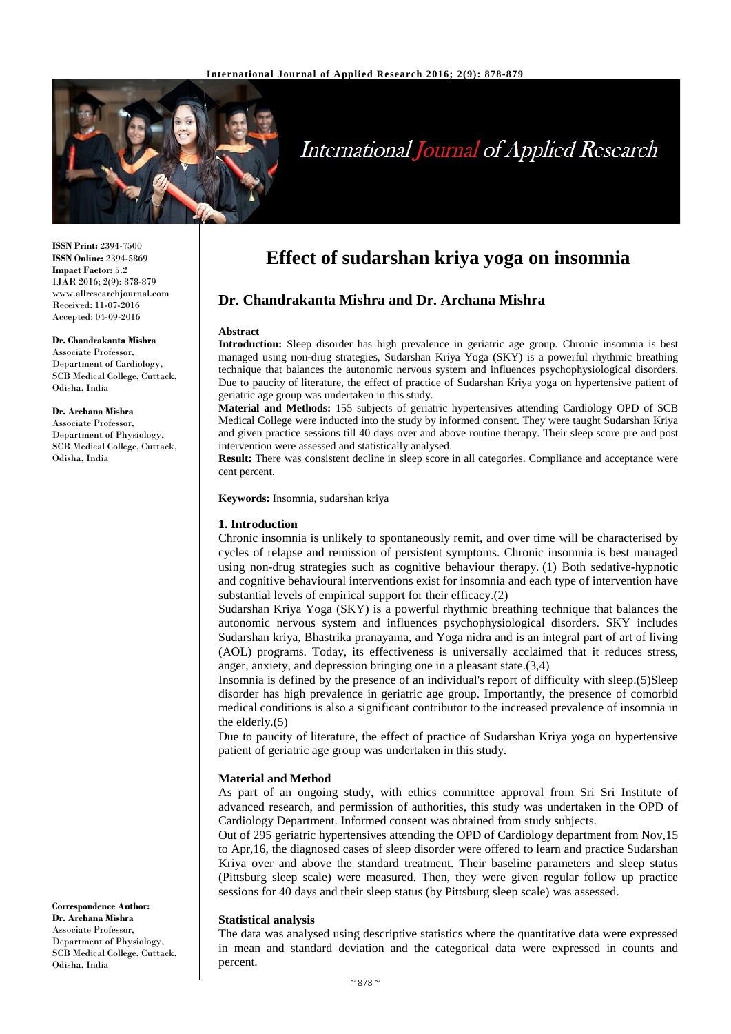

# **International Journal of Applied Research**

**ISSN Print:** 2394-7500 **ISSN Online:** 2394-5869 **Impact Factor:** 5.2 IJAR 2016; 2(9): 878-879 www.allresearchjournal.com Received: 11-07-2016 Accepted: 04-09-2016

# **Dr. Chandrakanta Mishra**

Associate Professor, Department of Cardiology, SCB Medical College, Cuttack, Odisha, India

# **Dr. Archana Mishra**

Associate Professor, Department of Physiology, SCB Medical College, Cuttack, Odisha, India

# **Effect of sudarshan kriya yoga on insomnia**

# **Dr. Chandrakanta Mishra and Dr. Archana Mishra**

#### **Abstract**

**Introduction:** Sleep disorder has high prevalence in geriatric age group. Chronic insomnia is best managed using non-drug strategies, Sudarshan Kriya Yoga (SKY) is a powerful rhythmic breathing technique that balances the autonomic nervous system and influences psychophysiological disorders. Due to paucity of literature, the effect of practice of Sudarshan Kriya yoga on hypertensive patient of geriatric age group was undertaken in this study.

**Material and Methods:** 155 subjects of geriatric hypertensives attending Cardiology OPD of SCB Medical College were inducted into the study by informed consent. They were taught Sudarshan Kriya and given practice sessions till 40 days over and above routine therapy. Their sleep score pre and post intervention were assessed and statistically analysed.

**Result:** There was consistent decline in sleep score in all categories. Compliance and acceptance were cent percent.

**Keywords:** Insomnia, sudarshan kriya

## **1. Introduction**

Chronic insomnia is unlikely to spontaneously remit, and over time will be characterised by cycles of relapse and remission of persistent symptoms. Chronic insomnia is best managed using non-drug strategies such as cognitive behaviour therapy. (1) Both sedative-hypnotic and cognitive behavioural interventions exist for insomnia and each type of intervention have substantial levels of empirical support for their efficacy.(2)

Sudarshan Kriya Yoga (SKY) is a powerful rhythmic breathing technique that balances the autonomic nervous system and influences psychophysiological disorders. SKY includes Sudarshan kriya, Bhastrika pranayama, and Yoga nidra and is an integral part of art of living (AOL) programs. Today, its effectiveness is universally acclaimed that it reduces stress, anger, anxiety, and depression bringing one in a pleasant state.(3,4)

Insomnia is defined by the presence of an individual's report of difficulty with sleep.(5)Sleep disorder has high prevalence in geriatric age group. Importantly, the presence of comorbid medical conditions is also a significant contributor to the increased prevalence of insomnia in the elderly.(5)

Due to paucity of literature, the effect of practice of Sudarshan Kriya yoga on hypertensive patient of geriatric age group was undertaken in this study.

#### **Material and Method**

As part of an ongoing study, with ethics committee approval from Sri Sri Institute of advanced research, and permission of authorities, this study was undertaken in the OPD of Cardiology Department. Informed consent was obtained from study subjects.

Out of 295 geriatric hypertensives attending the OPD of Cardiology department from Nov,15 to Apr,16, the diagnosed cases of sleep disorder were offered to learn and practice Sudarshan Kriya over and above the standard treatment. Their baseline parameters and sleep status (Pittsburg sleep scale) were measured. Then, they were given regular follow up practice sessions for 40 days and their sleep status (by Pittsburg sleep scale) was assessed.

#### **Statistical analysis**

The data was analysed using descriptive statistics where the quantitative data were expressed in mean and standard deviation and the categorical data were expressed in counts and percent.

**Correspondence Author: Dr. Archana Mishra** Associate Professor, Department of Physiology, SCB Medical College, Cuttack, Odisha, India